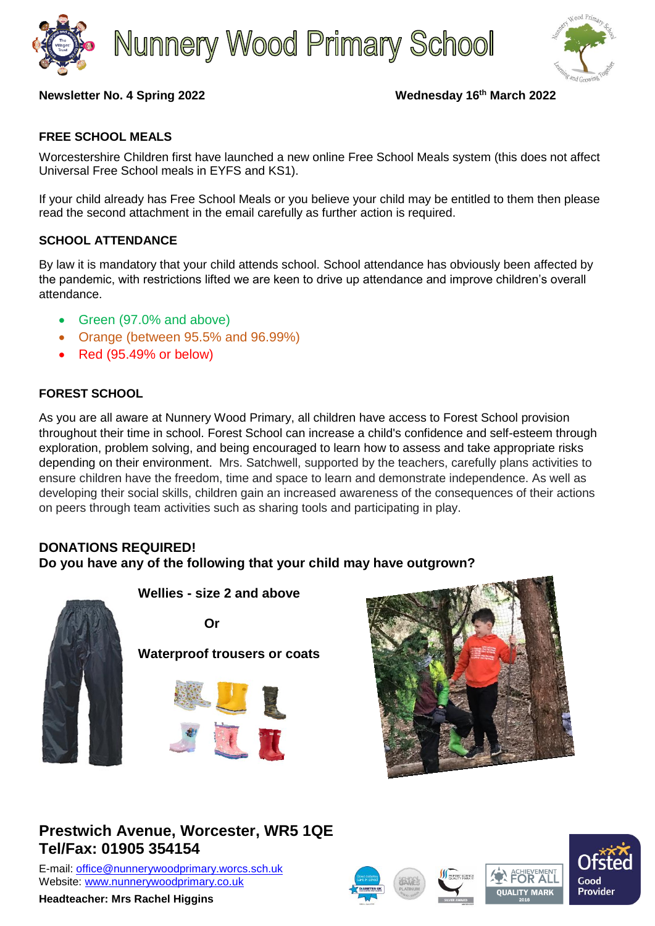



### **Newsletter No. 4 Spring 2022 Wednesday 16th March 2022**

## **FREE SCHOOL MEALS**

Worcestershire Children first have launched a new online Free School Meals system (this does not affect Universal Free School meals in EYFS and KS1).

If your child already has Free School Meals or you believe your child may be entitled to them then please read the second attachment in the email carefully as further action is required.

### **SCHOOL ATTENDANCE**

By law it is mandatory that your child attends school. School attendance has obviously been affected by the pandemic, with restrictions lifted we are keen to drive up attendance and improve children's overall attendance.

- Green (97.0% and above)
- Orange (between 95.5% and 96.99%)
- Red (95.49% or below)

## **FOREST SCHOOL**

As you are all aware at Nunnery Wood Primary, all children have access to Forest School provision throughout their time in school. Forest School can increase a child's confidence and self-esteem through exploration, problem solving, and being encouraged to learn how to assess and take appropriate risks depending on their environment. Mrs. Satchwell, supported by the teachers, carefully plans activities to ensure children have the freedom, time and space to learn and demonstrate independence. As well as developing their social skills, children gain an increased awareness of the consequences of their actions on peers through team activities such as sharing tools and participating in play.

# **DONATIONS REQUIRED! Do you have any of the following that your child may have outgrown?**



 **Waterproof trousers or coats**

 **Wellies - size 2 and above**





# **Prestwich Avenue, Worcester, WR5 1QE Tel/Fax: 01905 354154**

E-mail: [office@nunnerywoodprimary.worcs.sch.uk](mailto:office@nunnerywoodprimary.worcs.sch.uk) Website: [www.nunnerywoodprimary.co.uk](http://www.nunnerywoodprimary.worcs.sch.uk/)

**Headteacher: Mrs Rachel Higgins**